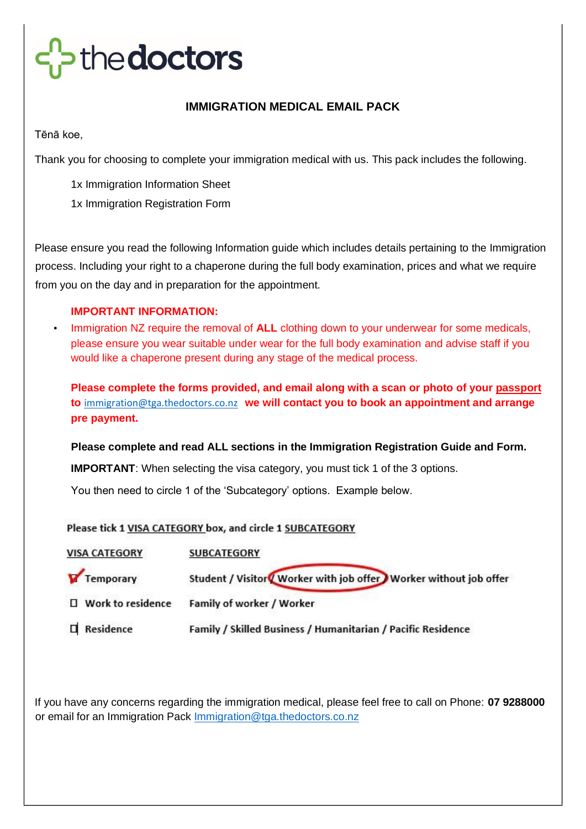# thedoctors

## **IMMIGRATION MEDICAL EMAIL PACK**

Tēnā koe,

Thank you for choosing to complete your immigration medical with us. This pack includes the following.

1x Immigration Information Sheet 1x Immigration Registration Form

Please ensure you read the following Information guide which includes details pertaining to the Immigration process. Including your right to a chaperone during the full body examination, prices and what we require from you on the day and in preparation for the appointment.

## **IMPORTANT INFORMATION:**

• Immigration NZ require the removal of **ALL** clothing down to your underwear for some medicals, please ensure you wear suitable under wear for the full body examination and advise staff if you would like a chaperone present during any stage of the medical process.

**Please complete the forms provided, and email along with a scan or photo of your passport to** [immigration@tga.thedoctors.co.nz](mailto:immigration@tga.thedoctors.co.nz) **we will contact you to book an appointment and arrange pre payment.** 

**Please complete and read ALL sections in the Immigration Registration Guide and Form.** 

**IMPORTANT**: When selecting the visa category, you must tick 1 of the 3 options.

You then need to circle 1 of the 'Subcategory' options. Example below.

### Please tick 1 VISA CATEGORY box, and circle 1 SUBCATEGORY

| <b>VISA CATEGORY</b> | <b>SUBCATEGORY</b>                                                   |
|----------------------|----------------------------------------------------------------------|
| Temporary            | Student / Visitor / Worker with job offer / Worker without job offer |
| □ Work to residence  | Family of worker / Worker                                            |
| $\Box$ Residence     | Family / Skilled Business / Humanitarian / Pacific Residence         |

If you have any concerns regarding the immigration medical, please feel free to call on Phone: **07 9288000** or email for an Immigration Pack Immigration@tga.thedoctors.co.nz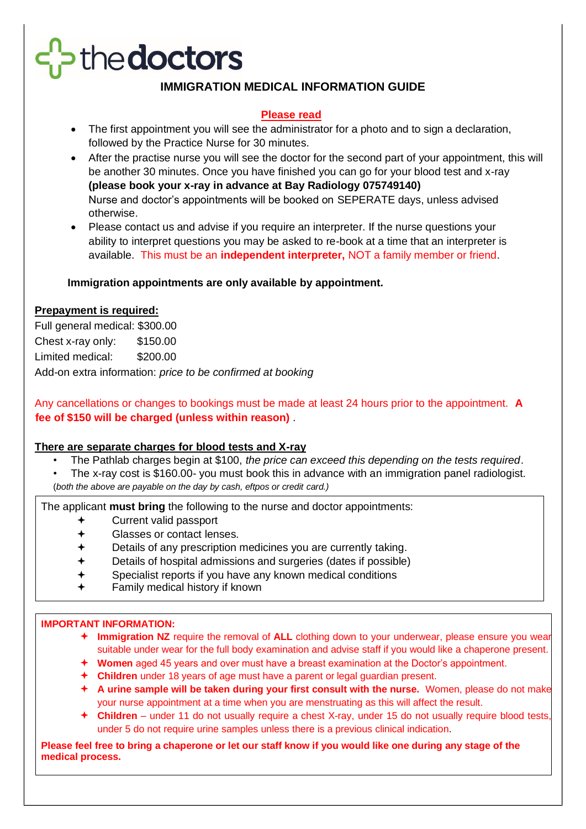# thedoctors

## **IMMIGRATION MEDICAL INFORMATION GUIDE**

### **Please read**

- The first appointment you will see the administrator for a photo and to sign a declaration, followed by the Practice Nurse for 30 minutes.
- After the practise nurse you will see the doctor for the second part of your appointment, this will be another 30 minutes. Once you have finished you can go for your blood test and x-ray **(please book your x-ray in advance at Bay Radiology 075749140)** Nurse and doctor's appointments will be booked on SEPERATE days, unless advised otherwise.
- Please contact us and advise if you require an interpreter. If the nurse questions your ability to interpret questions you may be asked to re-book at a time that an interpreter is available. This must be an **independent interpreter,** NOT a family member or friend.

### **Immigration appointments are only available by appointment.**

#### **Prepayment is required:**

Full general medical: \$300.00 Chest x-ray only: \$150.00 Limited medical: \$200.00 Add-on extra information: *price to be confirmed at booking*

Any cancellations or changes to bookings must be made at least 24 hours prior to the appointment. **A fee of \$150 will be charged (unless within reason)** .

#### **There are separate charges for blood tests and X-ray**

- The Pathlab charges begin at \$100, *the price can exceed this depending on the tests required*.
- The x-ray cost is \$160.00- you must book this in advance with an immigration panel radiologist. (*both the above are payable on the day by cash, eftpos or credit card.)*

The applicant **must bring** the following to the nurse and doctor appointments:

- Current valid passport
- Glasses or contact lenses.
- Details of any prescription medicines you are currently taking.
- Details of hospital admissions and surgeries (dates if possible)
- Specialist reports if you have any known medical conditions
- Family medical history if known

#### **IMPORTANT INFORMATION:**

- **Immigration NZ** require the removal of **ALL** clothing down to your underwear, please ensure you wear suitable under wear for the full body examination and advise staff if you would like a chaperone present.
- **Women** aged 45 years and over must have a breast examination at the Doctor's appointment.
- **Children** under 18 years of age must have a parent or legal guardian present.
- **A urine sample will be taken during your first consult with the nurse.** Women, please do not make your nurse appointment at a time when you are menstruating as this will affect the result.
- **Children**  under 11 do not usually require a chest X-ray, under 15 do not usually require blood tests, under 5 do not require urine samples unless there is a previous clinical indication.

**Please feel free to bring a chaperone or let our staff know if you would like one during any stage of the medical process.**